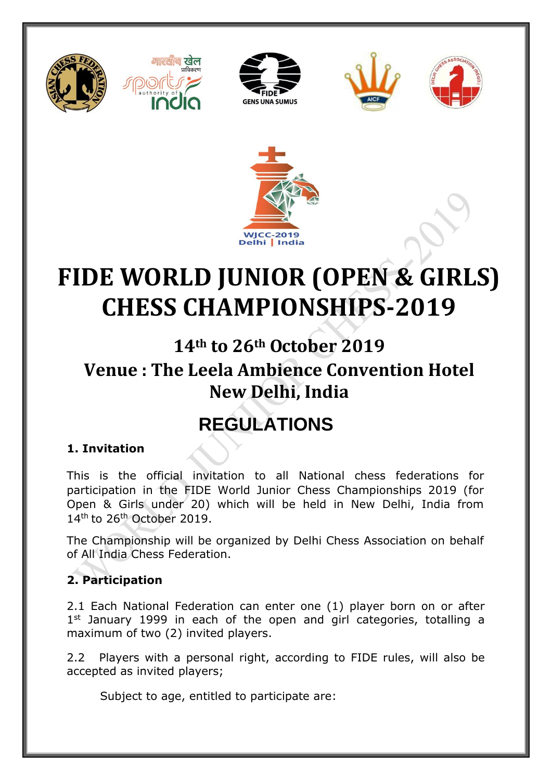











# **FIDE WORLD JUNIOR (OPEN & GIRLS) CHESS CHAMPIONSHIPS-2019**

**14th to 26th October 2019**

# **Venue : The Leela Ambience Convention Hotel New Delhi, India**

# **REGULATIONS**

## **1. Invitation**

This is the official invitation to all National chess federations for participation in the FIDE World Junior Chess Championships 2019 (for Open & Girls under 20) which will be held in New Delhi, India from 14<sup>th</sup> to 26<sup>th</sup> October 2019.

The Championship will be organized by Delhi Chess Association on behalf of All India Chess Federation.

### **2. Participation**

2.1 Each National Federation can enter one (1) player born on or after 1<sup>st</sup> January 1999 in each of the open and girl categories, totalling a maximum of two (2) invited players.

2.2 Players with a personal right, according to FIDE rules, will also be accepted as invited players;

Subject to age, entitled to participate are: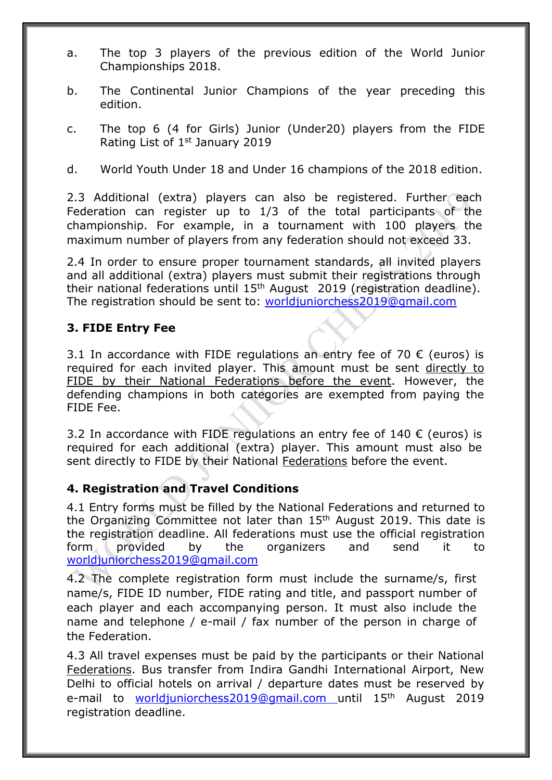- a. The top 3 players of the previous edition of the World Junior Championships 2018.
- b. The Continental Junior Champions of the year preceding this edition.
- c. The top 6 (4 for Girls) Junior (Under20) players from the FIDE Rating List of 1<sup>st</sup> January 2019
- d. World Youth Under 18 and Under 16 champions of the 2018 edition.

2.3 Additional (extra) players can also be registered. Further each Federation can register up to 1/3 of the total participants of the championship. For example, in a tournament with 100 players the maximum number of players from any federation should not exceed 33.

2.4 In order to ensure proper tournament standards, all invited players and all additional (extra) players must submit their registrations through their national federations until  $15<sup>th</sup>$  August 2019 (registration deadline). The registration should be sent to: [worldjuniorchess2019@gmail.com](mailto:worldjuniorchess2019@gmail.com)

#### **3. FIDE Entry Fee**

3.1 In accordance with FIDE regulations an entry fee of 70  $\epsilon$  (euros) is required for each invited player. This amount must be sent directly to FIDE by their National Federations before the event. However, the defending champions in both categories are exempted from paying the FIDE Fee.

3.2 In accordance with FIDE regulations an entry fee of 140 € (euros) is required for each additional (extra) player. This amount must also be sent directly to FIDE by their National Federations before the event.

#### **4. Registration and Travel Conditions**

4.1 Entry forms must be filled by the National Federations and returned to the Organizing Committee not later than 15<sup>th</sup> August 2019. This date is the registration deadline. All federations must use the official registration form provided by the organizers and send it to [worldjuniorchess2019@gmail.com](mailto:worldjuniorchess2019@gmail.com)

4.2 The complete registration form must include the surname/s, first name/s, FIDE ID number, FIDE rating and title, and passport number of each player and each accompanying person. It must also include the name and telephone / e-mail / fax number of the person in charge of the Federation.

4.3 All travel expenses must be paid by the participants or their National Federations. Bus transfer from Indira Gandhi International Airport, New Delhi to official hotels on arrival / departure dates must be reserved by e-mail to [worldjuniorchess2019@gmail.com](mailto:worldjuniorchess2019@gmail.com) until 15th August 2019 registration deadline.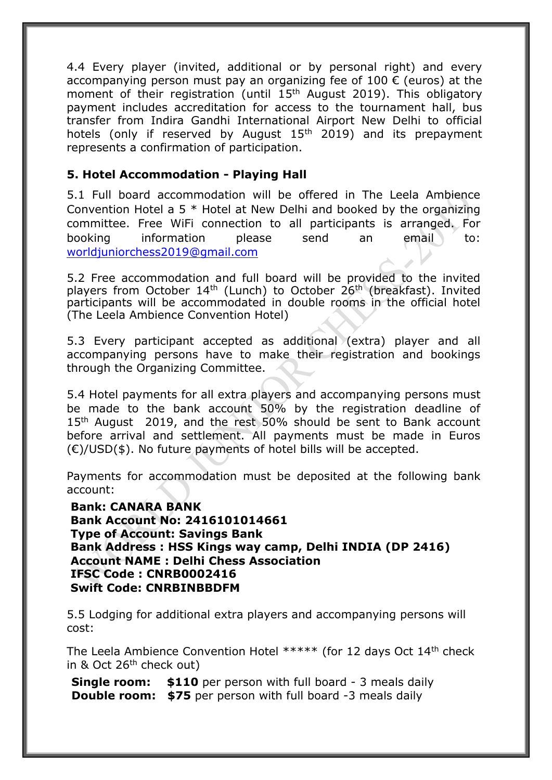4.4 Every player (invited, additional or by personal right) and every accompanying person must pay an organizing fee of 100  $\epsilon$  (euros) at the moment of their registration (until 15<sup>th</sup> August 2019). This obligatory payment includes accreditation for access to the tournament hall, bus transfer from Indira Gandhi International Airport New Delhi to official hotels (only if reserved by August  $15<sup>th</sup>$  2019) and its prepayment represents a confirmation of participation.

#### **5. Hotel Accommodation - Playing Hall**

5.1 Full board accommodation will be offered in The Leela Ambience Convention Hotel a 5 \* Hotel at New Delhi and booked by the organizing committee. Free WiFi connection to all participants is arranged. For booking information please send an email to: worldjuniorchess2019@gmail.com

5.2 Free accommodation and full board will be provided to the invited players from October 14<sup>th</sup> (Lunch) to October 26<sup>th</sup> (breakfast). Invited participants will be accommodated in double rooms in the official hotel (The Leela Ambience Convention Hotel)

5.3 Every participant accepted as additional (extra) player and all accompanying persons have to make their registration and bookings through the Organizing Committee.

5.4 Hotel payments for all extra players and accompanying persons must be made to the bank account 50% by the registration deadline of 15<sup>th</sup> August 2019, and the rest 50% should be sent to Bank account before arrival and settlement. All payments must be made in Euros  $(\epsilon)$ /USD(\$). No future payments of hotel bills will be accepted.

Payments for accommodation must be deposited at the following bank account:

**Bank: CANARA BANK Bank Account No: 2416101014661 Type of Account: Savings Bank Bank Address : HSS Kings way camp, Delhi INDIA (DP 2416) Account NAME : Delhi Chess Association IFSC Code : CNRB0002416 Swift Code: CNRBINBBDFM**

5.5 Lodging for additional extra players and accompanying persons will cost:

The Leela Ambience Convention Hotel \*\*\*\*\* (for 12 days Oct 14th check in & Oct 26<sup>th</sup> check out)

**Single room: \$110** per person with full board - 3 meals daily **Double room: \$75** per person with full board -3 meals daily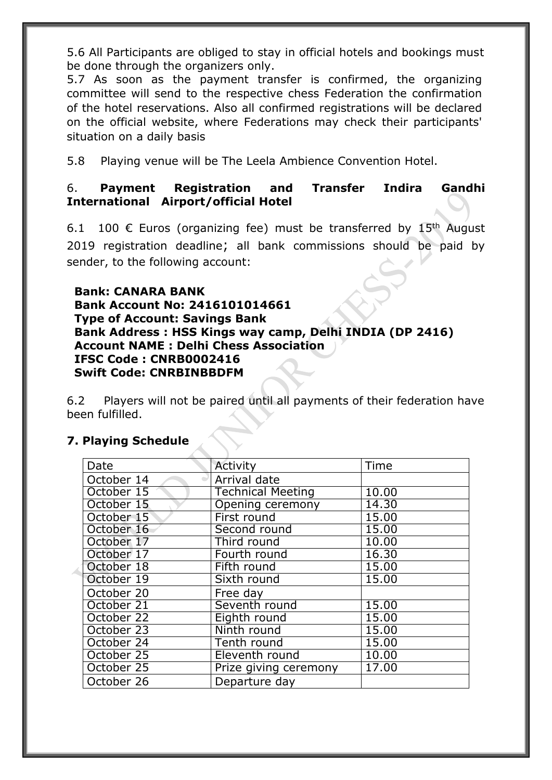5.6 All Participants are obliged to stay in official hotels and bookings must be done through the organizers only.

5.7 As soon as the payment transfer is confirmed, the organizing committee will send to the respective chess Federation the confirmation of the hotel reservations. Also all confirmed registrations will be declared on the official website, where Federations may check their participants' situation on a daily basis

5.8 Playing venue will be The Leela Ambience Convention Hotel.

#### 6. **Payment Registration and Transfer Indira Gandhi International Airport/official Hotel**

6.1 100  $\epsilon$  Euros (organizing fee) must be transferred by 15<sup>th</sup> August 2019 registration deadline; all bank commissions should be paid by sender, to the following account:

 **Bank: CANARA BANK Bank Account No: 2416101014661 Type of Account: Savings Bank Bank Address : HSS Kings way camp, Delhi INDIA (DP 2416) Account NAME : Delhi Chess Association IFSC Code : CNRB0002416 Swift Code: CNRBINBBDFM**

6.2 Players will not be paired until all payments of their federation have been fulfilled.

#### **7. Playing Schedule**

Á

| Date       | Activity                 | Time  |
|------------|--------------------------|-------|
| October 14 | Arrival date             |       |
| October 15 | <b>Technical Meeting</b> | 10.00 |
| October 15 | Opening ceremony         | 14.30 |
| October 15 | First round              | 15.00 |
| October 16 | Second round             | 15.00 |
| October 17 | Third round              | 10.00 |
| October 17 | Fourth round             | 16.30 |
| October 18 | Fifth round              | 15.00 |
| October 19 | Sixth round              | 15.00 |
| October 20 | Free day                 |       |
| October 21 | Seventh round            | 15.00 |
| October 22 | Eighth round             | 15.00 |
| October 23 | Ninth round              | 15.00 |
| October 24 | Tenth round              | 15.00 |
| October 25 | Eleventh round           | 10.00 |
| October 25 | Prize giving ceremony    | 17.00 |
| October 26 | Departure day            |       |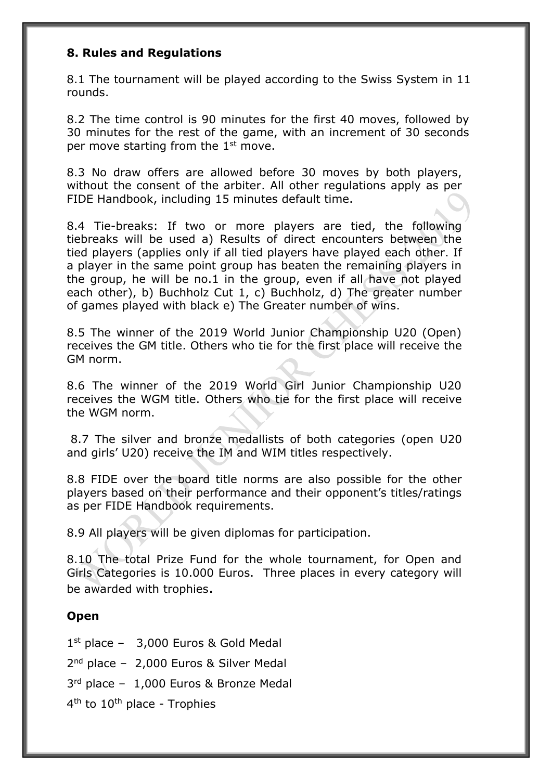#### **8. Rules and Regulations**

8.1 The tournament will be played according to the Swiss System in 11 rounds.

8.2 The time control is 90 minutes for the first 40 moves, followed by 30 minutes for the rest of the game, with an increment of 30 seconds per move starting from the  $1<sup>st</sup>$  move.

8.3 No draw offers are allowed before 30 moves by both players, without the consent of the arbiter. All other regulations apply as per FIDE Handbook, including 15 minutes default time.

8.4 Tie-breaks: If two or more players are tied, the following tiebreaks will be used a) Results of direct encounters between the tied players (applies only if all tied players have played each other. If a player in the same point group has beaten the remaining players in the group, he will be no.1 in the group, even if all have not played each other), b) Buchholz Cut 1, c) Buchholz, d) The greater number of games played with black e) The Greater number of wins.

8.5 The winner of the 2019 World Junior Championship U20 (Open) receives the GM title. Others who tie for the first place will receive the GM norm.

8.6 The winner of the 2019 World Girl Junior Championship U20 receives the WGM title. Others who tie for the first place will receive the WGM norm.

8.7 The silver and bronze medallists of both categories (open U20 and girls' U20) receive the IM and WIM titles respectively.

8.8 FIDE over the board title norms are also possible for the other players based on their performance and their opponent's titles/ratings as per FIDE Handbook requirements.

8.9 All players will be given diplomas for participation.

8.10 The total Prize Fund for the whole tournament, for Open and Girls Categories is 10.000 Euros. Three places in every category will be awarded with trophies.

#### **Open**

1 st place – 3,000 Euros & Gold Medal

2 nd place – 2,000 Euros & Silver Medal

3 rd place – 1,000 Euros & Bronze Medal

4<sup>th</sup> to 10<sup>th</sup> place - Trophies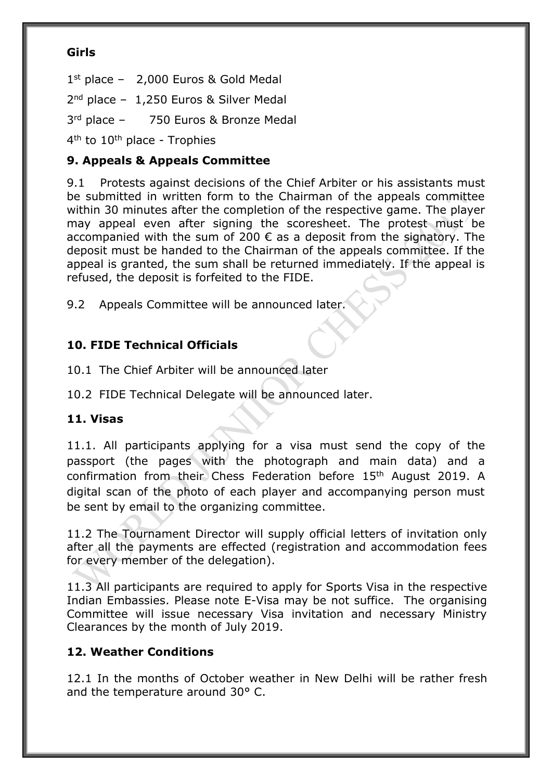#### **Girls**

1 st place – 2,000 Euros & Gold Medal

2<sup>nd</sup> place - 1,250 Euros & Silver Medal

3 rd place – 750 Euros & Bronze Medal

4<sup>th</sup> to 10<sup>th</sup> place - Trophies

#### **9. Appeals & Appeals Committee**

9.1 Protests against decisions of the Chief Arbiter or his assistants must be submitted in written form to the Chairman of the appeals committee within 30 minutes after the completion of the respective game. The player may appeal even after signing the scoresheet. The protest must be accompanied with the sum of 200  $\epsilon$  as a deposit from the signatory. The deposit must be handed to the Chairman of the appeals committee. If the appeal is granted, the sum shall be returned immediately. If the appeal is refused, the deposit is forfeited to the FIDE.

9.2 Appeals Committee will be announced later.

#### **10. FIDE Technical Officials**

10.1 The Chief Arbiter will be announced later

10.2 FIDE Technical Delegate will be announced later.

#### **11. Visas**

11.1. All participants applying for a visa must send the copy of the passport (the pages with the photograph and main data) and a confirmation from their Chess Federation before 15th August 2019. A digital scan of the photo of each player and accompanying person must be sent by email to the organizing committee.

11.2 The Tournament Director will supply official letters of invitation only after all the payments are effected (registration and accommodation fees for every member of the delegation).

11.3 All participants are required to apply for Sports Visa in the respective Indian Embassies. Please note E-Visa may be not suffice. The organising Committee will issue necessary Visa invitation and necessary Ministry Clearances by the month of July 2019.

#### **12. Weather Conditions**

12.1 In the months of October weather in New Delhi will be rather fresh and the temperature around 30° C.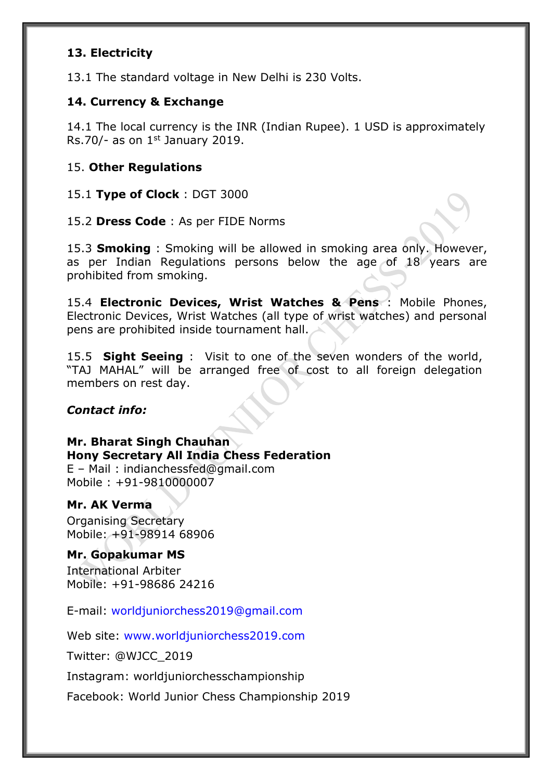#### **13. Electricity**

13.1 The standard voltage in New Delhi is 230 Volts.

#### **14. Currency & Exchange**

14.1 The local currency is the INR (Indian Rupee). 1 USD is approximately Rs.70/- as on  $1<sup>st</sup>$  January 2019.

#### 15. **Other Regulations**

15.1 **Type of Clock** : DGT 3000

15.2 **Dress Code** : As per FIDE Norms

15.3 **Smoking** : Smoking will be allowed in smoking area only. However, as per Indian Regulations persons below the age of 18 years are prohibited from smoking.

15.4 **Electronic Devices, Wrist Watches & Pens** : Mobile Phones, Electronic Devices, Wrist Watches (all type of wrist watches) and personal pens are prohibited inside tournament hall.

15.5 **Sight Seeing** : Visit to one of the seven wonders of the world, "TAJ MAHAL" will be arranged free of cost to all foreign delegation members on rest day.

#### *Contact info:*

**Mr. Bharat Singh Chauhan Hony Secretary All India Chess Federation** E – Mail : indianchessfed@gmail.com Mobile : [+91-9810000007](mailto:worldjuniorchess2019@gmail.com)

#### **Mr. AK Verma**

Organising Secretary Mobile: +91-98914 68906

#### **Mr. Gopakumar MS**

International Arbiter Mobile: +91-98686 24216

E-mail: [worldjuniorchess2019@gmail.com](mailto:worldjuniorchess2019@gmail.com)

Web site: [www.worldjuniorchess2019.com](http://www.worldjuniorchess2019.com/)

Twitter: @WJCC\_2019

Instagram: worldjuniorchesschampionship

Facebook: World Junior Chess Championship 2019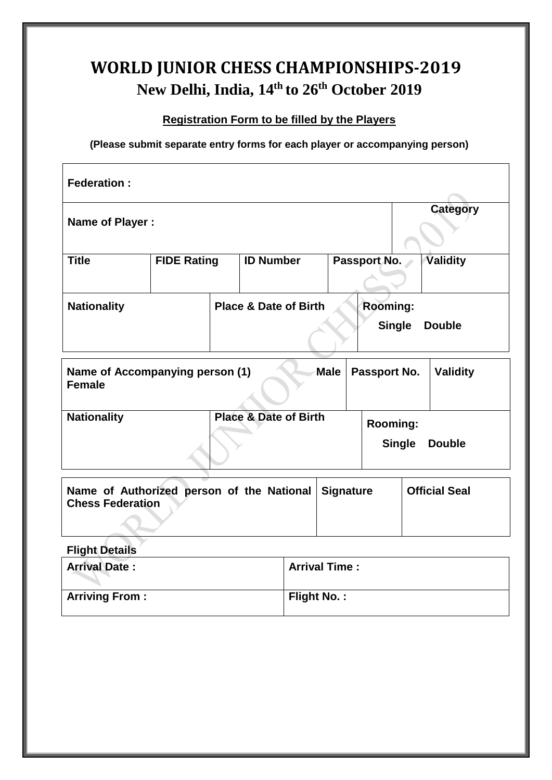# **WORLD JUNIOR CHESS CHAMPIONSHIPS-2019 New Delhi, India, 14th to 26th October 2019**

### **Registration Form to be filled by the Players**

**(Please submit separate entry forms for each player or accompanying person)**

| <b>Federation:</b>                                                                                               |                    |                                  |  |                                  |                 |
|------------------------------------------------------------------------------------------------------------------|--------------------|----------------------------------|--|----------------------------------|-----------------|
| Name of Player :                                                                                                 |                    |                                  |  |                                  | <b>Category</b> |
| <b>Title</b>                                                                                                     | <b>FIDE Rating</b> | <b>ID Number</b>                 |  | Passport No.                     | Validity        |
| <b>Nationality</b>                                                                                               |                    | <b>Place &amp; Date of Birth</b> |  | <b>Rooming:</b><br><b>Single</b> | <b>Double</b>   |
| Name of Accompanying person (1)<br><b>Male</b><br><b>Validity</b><br>Passport No.<br><b>Female</b>               |                    |                                  |  |                                  |                 |
| <b>Nationality</b>                                                                                               |                    | <b>Place &amp; Date of Birth</b> |  | <b>Rooming:</b><br><b>Single</b> | <b>Double</b>   |
| Name of Authorized person of the National<br><b>Official Seal</b><br><b>Signature</b><br><b>Chess Federation</b> |                    |                                  |  |                                  |                 |

**Flight Details**

| <b>Arrival Date:</b>  | <b>Arrival Time:</b> |
|-----------------------|----------------------|
| <b>Arriving From:</b> | Flight No.:          |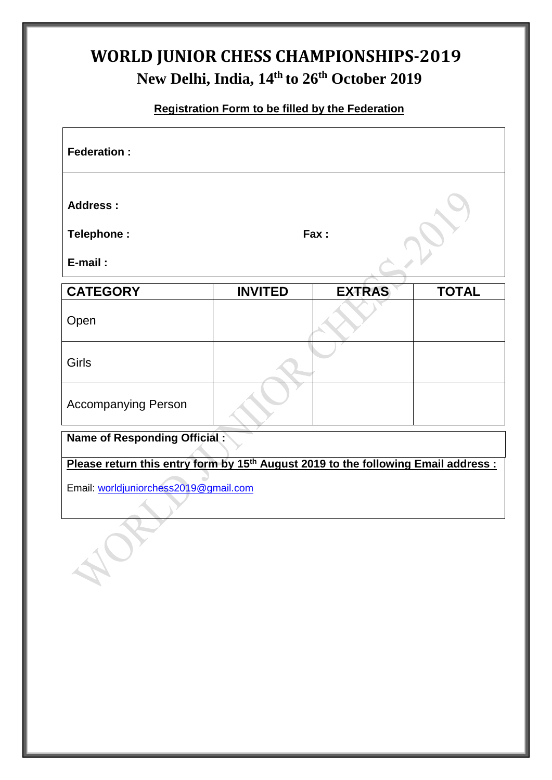# **WORLD JUNIOR CHESS CHAMPIONSHIPS-2019 New Delhi, India, 14th to 26th October 2019**

### **Registration Form to be filled by the Federation**

| <b>Federation:</b>                                                                                                                      |                |               |              |  |
|-----------------------------------------------------------------------------------------------------------------------------------------|----------------|---------------|--------------|--|
| <b>Address:</b><br>Telephone:<br>E-mail:                                                                                                |                | Fax:          |              |  |
| <b>CATEGORY</b>                                                                                                                         | <b>INVITED</b> | <b>EXTRAS</b> | <b>TOTAL</b> |  |
| Open                                                                                                                                    |                |               |              |  |
| Girls                                                                                                                                   |                |               |              |  |
| <b>Accompanying Person</b>                                                                                                              |                |               |              |  |
| <b>Name of Responding Official:</b>                                                                                                     |                |               |              |  |
| Please return this entry form by 15 <sup>th</sup> August 2019 to the following Email address :<br>Email: worldjuniorchess2019@gmail.com |                |               |              |  |